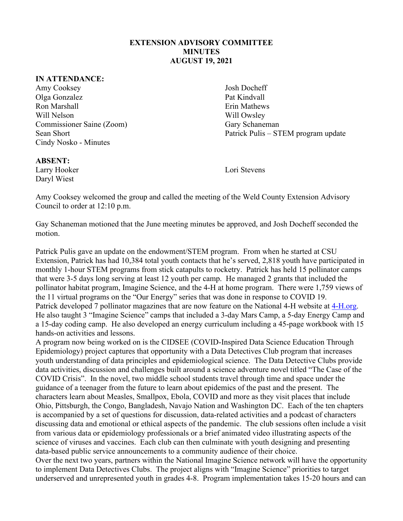## **EXTENSION ADVISORY COMMITTEE MINUTES AUGUST 19, 2021**

## **IN ATTENDANCE:**

Amy Cooksey Josh Docheff Olga Gonzalez Pat Kindvall Ron Marshall **Example 2018** Erin Mathews Will Nelson Will Owsley Commissioner Saine (Zoom) Gary Schaneman Cindy Nosko - Minutes

Sean Short **Patrick Pulis – STEM program update** 

## **ABSENT:**

Larry Hooker Lori Stevens Daryl Wiest

Amy Cooksey welcomed the group and called the meeting of the Weld County Extension Advisory Council to order at 12:10 p.m.

Gay Schaneman motioned that the June meeting minutes be approved, and Josh Docheff seconded the motion.

Patrick Pulis gave an update on the endowment/STEM program. From when he started at CSU Extension, Patrick has had 10,384 total youth contacts that he's served, 2,818 youth have participated in monthly 1-hour STEM programs from stick catapults to rocketry. Patrick has held 15 pollinator camps that were 3-5 days long serving at least 12 youth per camp. He managed 2 grants that included the pollinator habitat program, Imagine Science, and the 4-H at home program. There were 1,759 views of the 11 virtual programs on the "Our Energy" series that was done in response to COVID 19. Patrick developed 7 pollinator magazines that are now feature on the National 4-H website at [4-H.org.](http://www.4-h.org/) He also taught 3 "Imagine Science" camps that included a 3-day Mars Camp, a 5-day Energy Camp and a 15-day coding camp. He also developed an energy curriculum including a 45-page workbook with 15 hands-on activities and lessons.

A program now being worked on is the CIDSEE (COVID-Inspired Data Science Education Through Epidemiology) project captures that opportunity with a Data Detectives Club program that increases youth understanding of data principles and epidemiological science. The Data Detective Clubs provide data activities, discussion and challenges built around a science adventure novel titled "The Case of the COVID Crisis". In the novel, two middle school students travel through time and space under the guidance of a teenager from the future to learn about epidemics of the past and the present. The characters learn about Measles, Smallpox, Ebola, COVID and more as they visit places that include Ohio, Pittsburgh, the Congo, Bangladesh, Navajo Nation and Washington DC. Each of the ten chapters is accompanied by a set of questions for discussion, data-related activities and a podcast of characters discussing data and emotional or ethical aspects of the pandemic. The club sessions often include a visit from various data or epidemiology professionals or a brief animated video illustrating aspects of the science of viruses and vaccines. Each club can then culminate with youth designing and presenting data-based public service announcements to a community audience of their choice.

Over the next two years, partners within the National Imagine Science network will have the opportunity to implement Data Detectives Clubs. The project aligns with "Imagine Science" priorities to target underserved and unrepresented youth in grades 4-8. Program implementation takes 15-20 hours and can